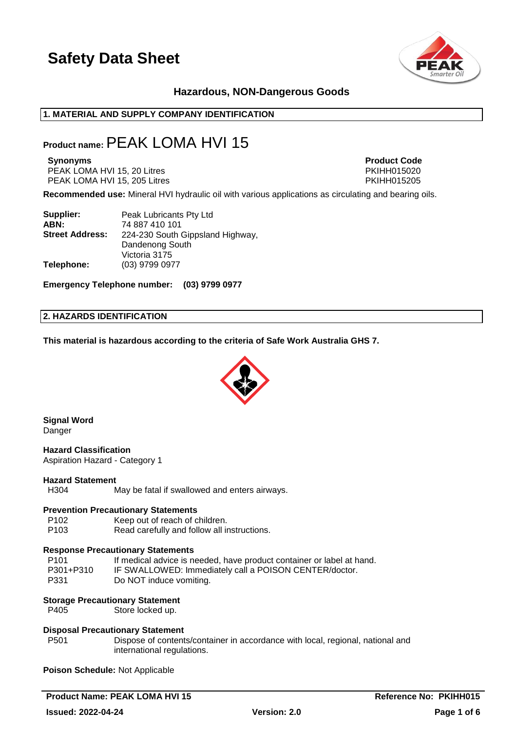

# **Hazardous, NON-Dangerous Goods**

### **1. MATERIAL AND SUPPLY COMPANY IDENTIFICATION**

# **Product name:**PEAK LOMA HVI 15

PEAK LOMA HVI 15, 20 Litres PHIT AND THE RESERVE TO A PRIME PRIME PRIME PRIME PRIME PRIME PRIME PRIME PRIME PRIME PRIME PRIME PRIME PRIME PRIME PRIME PRIME PRIME PRIME PRIME PRIME PRIME PRIME PRIME PRIME PRIME PRIME PRIME PEAK LOMA HVI 15, 205 Litres **PEAK LOMA HVI 15, 205 Litres** 

**Synonyms Product Code**

**Recommended use:** Mineral HVI hydraulic oil with various applications as circulating and bearing oils.

| Supplier:              | Peak Lubricants Pty Ltd          |
|------------------------|----------------------------------|
| ABN:                   | 74 887 410 101                   |
| <b>Street Address:</b> | 224-230 South Gippsland Highway, |
|                        | Dandenong South                  |
|                        | Victoria 3175                    |
| Telephone:             | (03) 9799 0977                   |

**Emergency Telephone number: (03) 9799 0977**

### **2. HAZARDS IDENTIFICATION**

**This material is hazardous according to the criteria of Safe Work Australia GHS 7.**



**Signal Word** Danger

**Hazard Classification** Aspiration Hazard - Category 1

### **Hazard Statement**

H304 May be fatal if swallowed and enters airways.

### **Prevention Precautionary Statements**

P102 Keep out of reach of children.<br>P103 Read carefully and follow all in

Read carefully and follow all instructions.

### **Response Precautionary Statements**

| P <sub>101</sub> | If medical advice is needed, have product container or label at hand. |
|------------------|-----------------------------------------------------------------------|
| P301+P310        | IF SWALLOWED: Immediately call a POISON CENTER/doctor.                |
| P331             | Do NOT induce vomiting.                                               |

### **Storage Precautionary Statement**

P405 Store locked up.

### **Disposal Precautionary Statement**

P501 Dispose of contents/container in accordance with local, regional, national and international regulations.

**Poison Schedule:** Not Applicable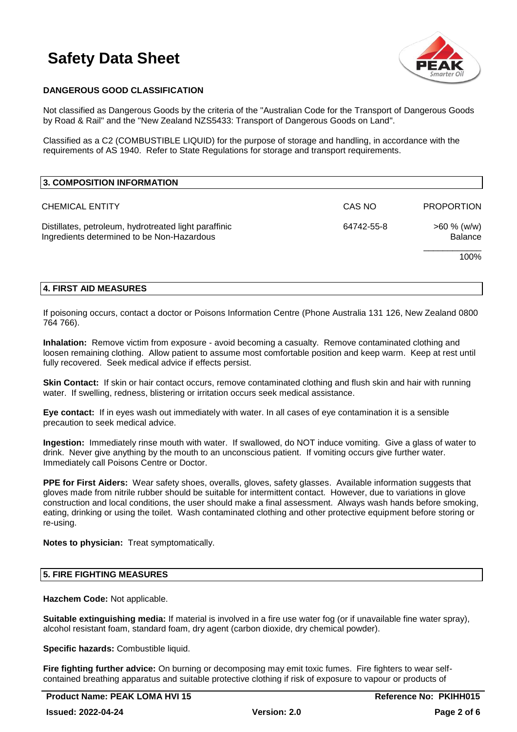

# **DANGEROUS GOOD CLASSIFICATION**

Not classified as Dangerous Goods by the criteria of the "Australian Code for the Transport of Dangerous Goods by Road & Rail" and the "New Zealand NZS5433: Transport of Dangerous Goods on Land".

Classified as a C2 (COMBUSTIBLE LIQUID) for the purpose of storage and handling, in accordance with the requirements of AS 1940. Refer to State Regulations for storage and transport requirements.

| 3. COMPOSITION INFORMATION                                                                          |            |                                  |
|-----------------------------------------------------------------------------------------------------|------------|----------------------------------|
| <b>CHEMICAL ENTITY</b>                                                                              | CAS NO     | <b>PROPORTION</b>                |
| Distillates, petroleum, hydrotreated light paraffinic<br>Ingredients determined to be Non-Hazardous | 64742-55-8 | $>60 \%$ (w/w)<br><b>Balance</b> |
|                                                                                                     |            | 100%                             |

### **4. FIRST AID MEASURES**

If poisoning occurs, contact a doctor or Poisons Information Centre (Phone Australia 131 126, New Zealand 0800 764 766).

**Inhalation:** Remove victim from exposure - avoid becoming a casualty. Remove contaminated clothing and loosen remaining clothing. Allow patient to assume most comfortable position and keep warm. Keep at rest until fully recovered. Seek medical advice if effects persist.

**Skin Contact:** If skin or hair contact occurs, remove contaminated clothing and flush skin and hair with running water. If swelling, redness, blistering or irritation occurs seek medical assistance.

**Eye contact:** If in eyes wash out immediately with water. In all cases of eye contamination it is a sensible precaution to seek medical advice.

**Ingestion:** Immediately rinse mouth with water. If swallowed, do NOT induce vomiting. Give a glass of water to drink. Never give anything by the mouth to an unconscious patient. If vomiting occurs give further water. Immediately call Poisons Centre or Doctor.

**PPE for First Aiders:** Wear safety shoes, overalls, gloves, safety glasses. Available information suggests that gloves made from nitrile rubber should be suitable for intermittent contact. However, due to variations in glove construction and local conditions, the user should make a final assessment. Always wash hands before smoking, eating, drinking or using the toilet. Wash contaminated clothing and other protective equipment before storing or re-using.

**Notes to physician:** Treat symptomatically.

### **5. FIRE FIGHTING MEASURES**

**Hazchem Code:** Not applicable.

**Suitable extinguishing media:** If material is involved in a fire use water fog (or if unavailable fine water spray), alcohol resistant foam, standard foam, dry agent (carbon dioxide, dry chemical powder).

**Specific hazards:** Combustible liquid.

**Fire fighting further advice:** On burning or decomposing may emit toxic fumes. Fire fighters to wear selfcontained breathing apparatus and suitable protective clothing if risk of exposure to vapour or products of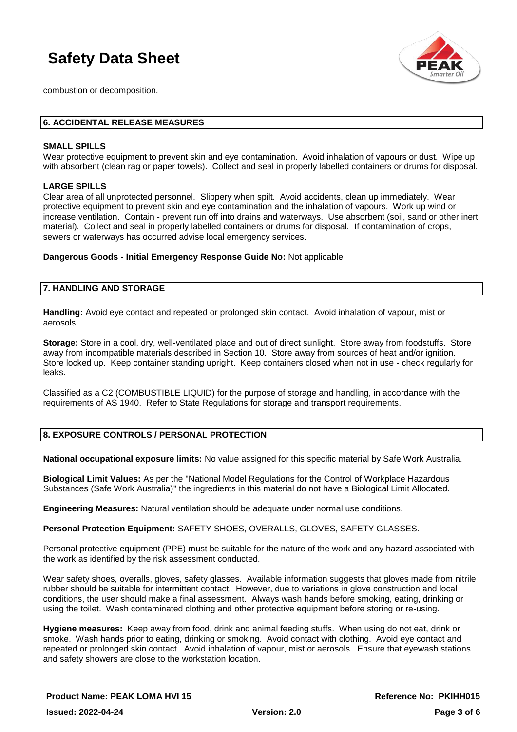

combustion or decomposition.

### **6. ACCIDENTAL RELEASE MEASURES**

### **SMALL SPILLS**

Wear protective equipment to prevent skin and eye contamination. Avoid inhalation of vapours or dust. Wipe up with absorbent (clean rag or paper towels). Collect and seal in properly labelled containers or drums for disposal.

### **LARGE SPILLS**

Clear area of all unprotected personnel. Slippery when spilt. Avoid accidents, clean up immediately. Wear protective equipment to prevent skin and eye contamination and the inhalation of vapours. Work up wind or increase ventilation. Contain - prevent run off into drains and waterways. Use absorbent (soil, sand or other inert material). Collect and seal in properly labelled containers or drums for disposal. If contamination of crops, sewers or waterways has occurred advise local emergency services.

**Dangerous Goods - Initial Emergency Response Guide No:** Not applicable

### **7. HANDLING AND STORAGE**

**Handling:** Avoid eye contact and repeated or prolonged skin contact. Avoid inhalation of vapour, mist or aerosols.

**Storage:** Store in a cool, dry, well-ventilated place and out of direct sunlight. Store away from foodstuffs. Store away from incompatible materials described in Section 10. Store away from sources of heat and/or ignition. Store locked up. Keep container standing upright. Keep containers closed when not in use - check regularly for leaks.

Classified as a C2 (COMBUSTIBLE LIQUID) for the purpose of storage and handling, in accordance with the requirements of AS 1940. Refer to State Regulations for storage and transport requirements.

### **8. EXPOSURE CONTROLS / PERSONAL PROTECTION**

**National occupational exposure limits:** No value assigned for this specific material by Safe Work Australia.

**Biological Limit Values:** As per the "National Model Regulations for the Control of Workplace Hazardous Substances (Safe Work Australia)" the ingredients in this material do not have a Biological Limit Allocated.

**Engineering Measures:** Natural ventilation should be adequate under normal use conditions.

**Personal Protection Equipment:** SAFETY SHOES, OVERALLS, GLOVES, SAFETY GLASSES.

Personal protective equipment (PPE) must be suitable for the nature of the work and any hazard associated with the work as identified by the risk assessment conducted.

Wear safety shoes, overalls, gloves, safety glasses. Available information suggests that gloves made from nitrile rubber should be suitable for intermittent contact. However, due to variations in glove construction and local conditions, the user should make a final assessment. Always wash hands before smoking, eating, drinking or using the toilet. Wash contaminated clothing and other protective equipment before storing or re-using.

**Hygiene measures:** Keep away from food, drink and animal feeding stuffs. When using do not eat, drink or smoke. Wash hands prior to eating, drinking or smoking. Avoid contact with clothing. Avoid eye contact and repeated or prolonged skin contact. Avoid inhalation of vapour, mist or aerosols. Ensure that eyewash stations and safety showers are close to the workstation location.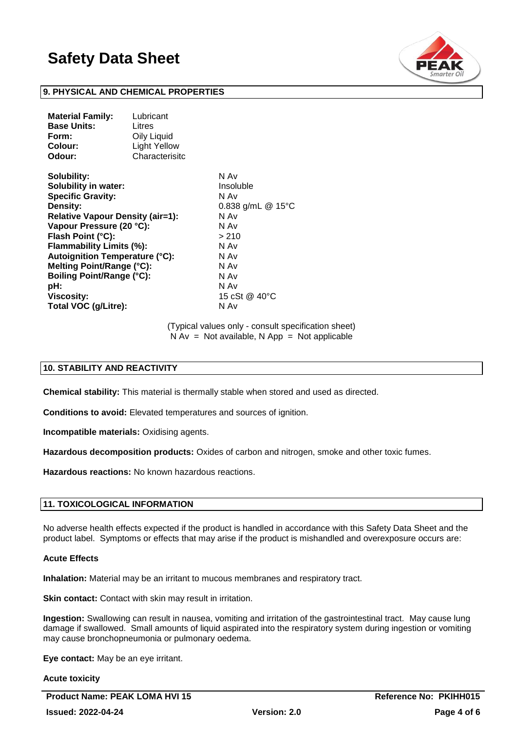

### **9. PHYSICAL AND CHEMICAL PROPERTIES**

| Lubricant           |
|---------------------|
| Litres              |
| Oily Liquid         |
| <b>Light Yellow</b> |
| Characterisito      |
|                     |

**Solubility:** N Av **Solubility in water:** Insoluble **Specific Gravity:** N Av **Density:** 0.838 g/mL @ 15°C **Relative Vapour Density (air=1):** N Av **Vapour Pressure (20 °C):** N Av **Flash Point (°C):**  $>210$ **Flammability Limits (%):** N Av **Autoignition Temperature (°C):** N Av **Melting Point/Range (°C):** N Av **Boiling Point/Range (°C):** N Av **pH:** N Av **Viscosity:** 15 cSt @ 40°C **Total VOC (g/Litre):** N Av

(Typical values only - consult specification sheet)  $N Av = Not available, N App = Not applicable$ 

### **10. STABILITY AND REACTIVITY**

**Chemical stability:** This material is thermally stable when stored and used as directed.

**Conditions to avoid:** Elevated temperatures and sources of ignition.

**Incompatible materials:** Oxidising agents.

**Hazardous decomposition products:** Oxides of carbon and nitrogen, smoke and other toxic fumes.

**Hazardous reactions:** No known hazardous reactions.

### **11. TOXICOLOGICAL INFORMATION**

No adverse health effects expected if the product is handled in accordance with this Safety Data Sheet and the product label. Symptoms or effects that may arise if the product is mishandled and overexposure occurs are:

#### **Acute Effects**

**Inhalation:** Material may be an irritant to mucous membranes and respiratory tract.

**Skin contact:** Contact with skin may result in irritation.

**Ingestion:** Swallowing can result in nausea, vomiting and irritation of the gastrointestinal tract. May cause lung damage if swallowed. Small amounts of liquid aspirated into the respiratory system during ingestion or vomiting may cause bronchopneumonia or pulmonary oedema.

**Eye contact:** May be an eye irritant.

#### **Acute toxicity**

**Product Name: PEAK LOMA HVI 15 Reference No: PKIHH015 Issued: 2022-04-24 Version: 2.0 Page 4 of 6**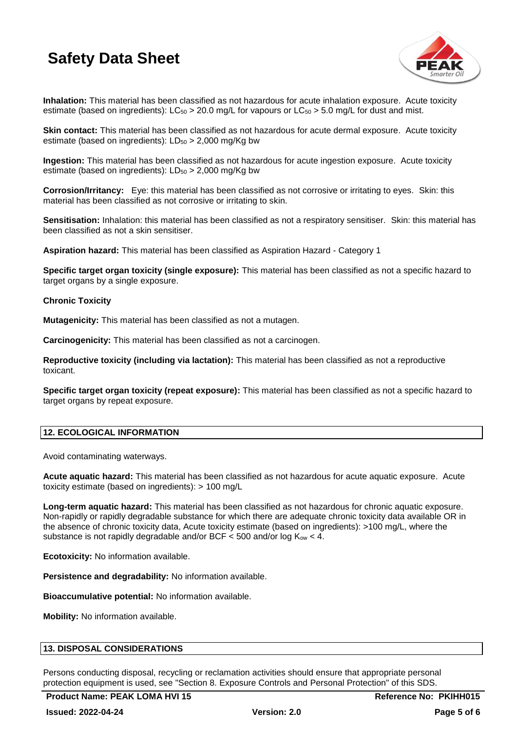

**Inhalation:** This material has been classified as not hazardous for acute inhalation exposure. Acute toxicity estimate (based on ingredients): LC $_{50}$  > 20.0 mg/L for vapours or LC $_{50}$  > 5.0 mg/L for dust and mist.

**Skin contact:** This material has been classified as not hazardous for acute dermal exposure. Acute toxicity estimate (based on ingredients):  $LD_{50} > 2,000$  mg/Kg bw

**Ingestion:** This material has been classified as not hazardous for acute ingestion exposure. Acute toxicity estimate (based on ingredients):  $LD_{50} > 2,000$  mg/Kg bw

**Corrosion/Irritancy:** Eye: this material has been classified as not corrosive or irritating to eyes. Skin: this material has been classified as not corrosive or irritating to skin.

**Sensitisation:** Inhalation: this material has been classified as not a respiratory sensitiser. Skin: this material has been classified as not a skin sensitiser.

**Aspiration hazard:** This material has been classified as Aspiration Hazard - Category 1

**Specific target organ toxicity (single exposure):** This material has been classified as not a specific hazard to target organs by a single exposure.

### **Chronic Toxicity**

**Mutagenicity:** This material has been classified as not a mutagen.

**Carcinogenicity:** This material has been classified as not a carcinogen.

**Reproductive toxicity (including via lactation):** This material has been classified as not a reproductive toxicant.

**Specific target organ toxicity (repeat exposure):** This material has been classified as not a specific hazard to target organs by repeat exposure.

## **12. ECOLOGICAL INFORMATION**

Avoid contaminating waterways.

**Acute aquatic hazard:** This material has been classified as not hazardous for acute aquatic exposure. Acute toxicity estimate (based on ingredients): > 100 mg/L

**Long-term aquatic hazard:** This material has been classified as not hazardous for chronic aquatic exposure. Non-rapidly or rapidly degradable substance for which there are adequate chronic toxicity data available OR in the absence of chronic toxicity data, Acute toxicity estimate (based on ingredients): >100 mg/L, where the substance is not rapidly degradable and/or BCF  $<$  500 and/or log Kow  $<$  4.

**Ecotoxicity:** No information available.

**Persistence and degradability:** No information available.

**Bioaccumulative potential:** No information available.

**Mobility:** No information available.

### **13. DISPOSAL CONSIDERATIONS**

Persons conducting disposal, recycling or reclamation activities should ensure that appropriate personal protection equipment is used, see "Section 8. Exposure Controls and Personal Protection" of this SDS.